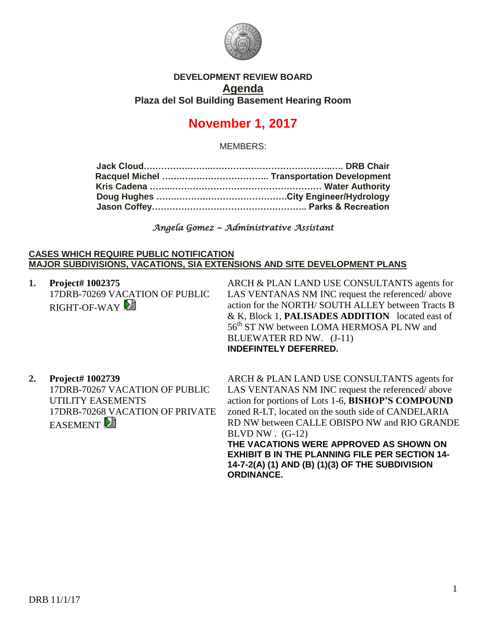

## **DEVELOPMENT REVIEW BOARD Agenda Plaza del Sol Building Basement Hearing Room**

# **November 1, 2017**

MEMBERS:

*Angela Gomez ~ Administrative Assistant* 

## **CASES WHICH REQUIRE PUBLIC NOTIFICATION MAJOR SUBDIVISIONS, VACATIONS, SIA EXTENSIONS AND SITE DEVELOPMENT PLANS**

**1. Project# 1002375** 17DRB-70269 VACATION OF PUBLIC RIGHT-OF-WAY

ARCH & PLAN LAND USE CONSULTANTS agents for LAS VENTANAS NM INC request the referenced/ above action for the NORTH/ SOUTH ALLEY between Tracts B & K, Block 1, **PALISADES ADDITION** located east of 56<sup>th</sup> ST NW between LOMA HERMOSA PL NW and BLUEWATER RD NW. (J-11) **INDEFINTELY DEFERRED.**

**2. Project# 1002739** 17DRB-70267 VACATION OF PUBLIC UTILITY EASEMENTS 17DRB-70268 VACATION OF PRIVATE **EASEMENT** 

ARCH & PLAN LAND USE CONSULTANTS agents for LAS VENTANAS NM INC request the referenced/ above action for portions of Lots 1-6, **BISHOP'S COMPOUND** zoned R-LT, located on the south side of CANDELARIA RD NW between CALLE OBISPO NW and RIO GRANDE BLVD NW  $(G-12)$ **THE VACATIONS WERE APPROVED AS SHOWN ON EXHIBIT B IN THE PLANNING FILE PER SECTION 14- 14-7-2(A) (1) AND (B) (1)(3) OF THE SUBDIVISION ORDINANCE.**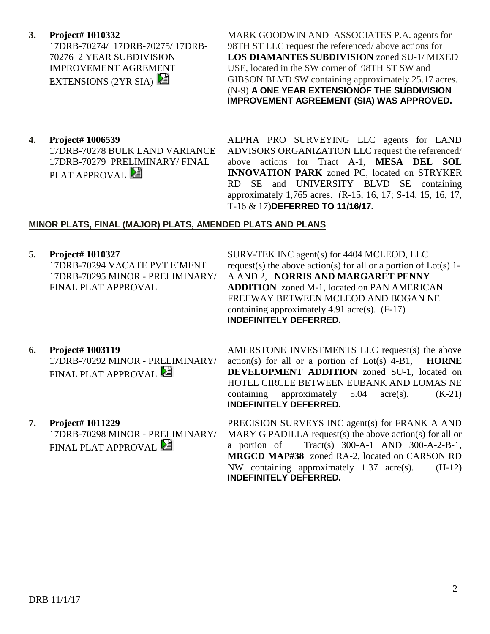## **3. Project# 1010332**

17DRB-70274/ 17DRB-70275/ 17DRB-70276 2 YEAR SUBDIVISION IMPROVEMENT AGREMENT EXTENSIONS (2YR SIA)

MARK GOODWIN AND ASSOCIATES P.A. agents for 98TH ST LLC request the referenced/ above actions for **LOS DIAMANTES SUBDIVISION** zoned SU-1/ MIXED USE, located in the SW corner of 98TH ST SW and GIBSON BLVD SW containing approximately 25.17 acres. (N-9) **A ONE YEAR EXTENSIONOF THE SUBDIVISION IMPROVEMENT AGREEMENT (SIA) WAS APPROVED.**

**4. Project# 1006539** 17DRB-70278 BULK LAND VARIANCE 17DRB-70279 PRELIMINARY/ FINAL PLAT APPROVAL

ALPHA PRO SURVEYING LLC agents for LAND ADVISORS ORGANIZATION LLC request the referenced/ above actions for Tract A-1, **MESA DEL SOL INNOVATION PARK** zoned PC, located on STRYKER RD SE and UNIVERSITY BLVD SE containing approximately 1,765 acres. (R-15, 16, 17; S-14, 15, 16, 17, T-16 & 17)**DEFERRED TO 11/16/17.**

### **MINOR PLATS, FINAL (MAJOR) PLATS, AMENDED PLATS AND PLANS**

**5. Project# 1010327** 17DRB-70294 VACATE PVT E'MENT 17DRB-70295 MINOR - PRELIMINARY/

FINAL PLAT APPROVAL

SURV-TEK INC agent(s) for 4404 MCLEOD, LLC request(s) the above action(s) for all or a portion of  $Lot(s)$  1-A AND 2, **NORRIS AND MARGARET PENNY ADDITION** zoned M-1, located on PAN AMERICAN FREEWAY BETWEEN MCLEOD AND BOGAN NE containing approximately 4.91 acre(s). (F-17) **INDEFINITELY DEFERRED.**

- **6. Project# 1003119** 17DRB-70292 MINOR - PRELIMINARY/ FINAL PLAT APPROVAL
- **7. Project# 1011229** 17DRB-70298 MINOR - PRELIMINARY/ FINAL PLAT APPROVAL

AMERSTONE INVESTMENTS LLC request(s) the above action(s) for all or a portion of Lot(s) 4-B1, **HORNE DEVELOPMENT ADDITION** zoned SU-1, located on HOTEL CIRCLE BETWEEN EUBANK AND LOMAS NE containing approximately  $5.04 \text{ acre(s)}$ .  $(K-21)$ **INDEFINITELY DEFERRED.**

PRECISION SURVEYS INC agent(s) for FRANK A AND MARY G PADILLA request(s) the above action(s) for all or a portion of Tract(s) 300-A-1 AND 300-A-2-B-1, **MRGCD MAP#38** zoned RA-2, located on CARSON RD NW containing approximately 1.37 acre(s). (H-12) **INDEFINITELY DEFERRED.**